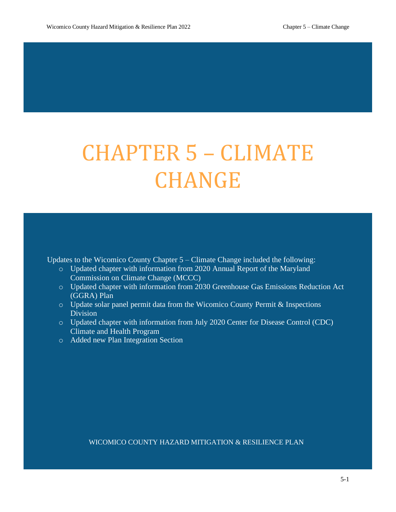# CHAPTER 5 – CLIMATE CHANGE

Updates to the Wicomico County Chapter 5 – Climate Change included the following:

- o Updated chapter with information from 2020 Annual Report of the Maryland Commission on Climate Change (MCCC)
- o Updated chapter with information from 2030 Greenhouse Gas Emissions Reduction Act (GGRA) Plan
- o Update solar panel permit data from the Wicomico County Permit & Inspections Division
- o Updated chapter with information from July 2020 Center for Disease Control (CDC) Climate and Health Program
- o Added new Plan Integration Section

WICOMICO COUNTY HAZARD MITIGATION & RESILIENCE PLAN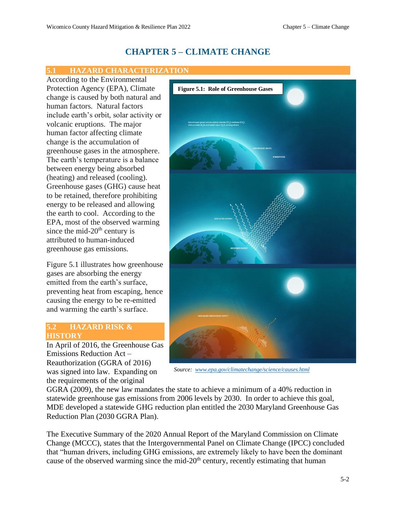## **CHAPTER 5 – CLIMATE CHANGE**

#### **5.1 HAZARD CHARACTERIZATION**

According to the Environmental Protection Agency (EPA), Climate change is caused by both natural and human factors. Natural factors include earth's orbit, solar activity or volcanic eruptions. The major human factor affecting climate change is the accumulation of greenhouse gases in the atmosphere. The earth's temperature is a balance between energy being absorbed (heating) and released (cooling). Greenhouse gases (GHG) cause heat to be retained, therefore prohibiting energy to be released and allowing the earth to cool. According to the EPA, most of the observed warming since the mid- $20<sup>th</sup>$  century is attributed to human-induced greenhouse gas emissions.

Figure 5.1 illustrates how greenhouse gases are absorbing the energy emitted from the earth's surface, preventing heat from escaping, hence causing the energy to be re-emitted and warming the earth's surface.

#### **5.2 HAZARD RISK & HISTORY**

In April of 2016, the Greenhouse Gas Emissions Reduction Act – Reauthorization (GGRA of 2016) was signed into law. Expanding on the requirements of the original



*Source: [www.epa.gov/climatechange/science/causes.html](http://www.epa.gov/climatechange/science/causes.html)*

GGRA (2009), the new law mandates the state to achieve a minimum of a 40% reduction in statewide greenhouse gas emissions from 2006 levels by 2030. In order to achieve this goal, MDE developed a statewide GHG reduction plan entitled the 2030 Maryland Greenhouse Gas Reduction Plan (2030 GGRA Plan).

The Executive Summary of the 2020 Annual Report of the Maryland Commission on Climate Change (MCCC), states that the Intergovernmental Panel on Climate Change (IPCC) concluded that "human drivers, including GHG emissions, are extremely likely to have been the dominant cause of the observed warming since the mid- $20<sup>th</sup>$  century, recently estimating that human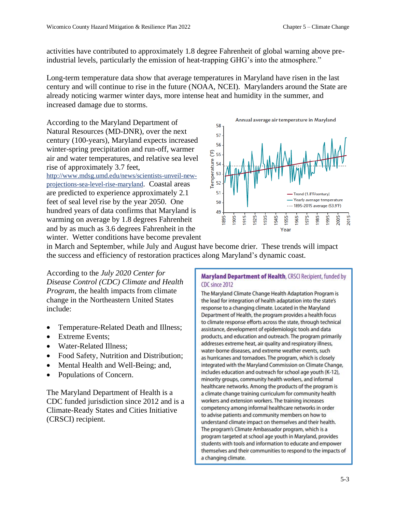activities have contributed to approximately 1.8 degree Fahrenheit of global warning above preindustrial levels, particularly the emission of heat-trapping GHG's into the atmosphere."

Long-term temperature data show that average temperatures in Maryland have risen in the last century and will continue to rise in the future (NOAA, NCEI). Marylanders around the State are already noticing warmer winter days, more intense heat and humidity in the summer, and increased damage due to storms.

According to the Maryland Department of Natural Resources (MD-DNR), over the next century (100-years), Maryland expects increased winter-spring precipitation and run-off, warmer air and water temperatures, and relative sea level rise of approximately 3.7 feet,

[http://www.mdsg.umd.edu/news/scientists-unveil-new](http://www.mdsg.umd.edu/news/scientists-unveil-new-projections-sea-level-rise-maryland)[projections-sea-level-rise-maryland](http://www.mdsg.umd.edu/news/scientists-unveil-new-projections-sea-level-rise-maryland). Coastal areas are predicted to experience approximately 2.1 feet of seal level rise by the year 2050. One hundred years of data confirms that Maryland is warming on average by 1.8 degrees Fahrenheit and by as much as 3.6 degrees Fahrenheit in the winter. Wetter conditions have become prevalent



in March and September, while July and August have become drier. These trends will impact the success and efficiency of restoration practices along Maryland's dynamic coast.

According to the *July 2020 Center for Disease Control (CDC) Climate and Health Program*, the health impacts from climate change in the Northeastern United States include:

- Temperature-Related Death and Illness;
- Extreme Events;
- Water-Related Illness:
- Food Safety, Nutrition and Distribution;
- Mental Health and Well-Being; and,
- Populations of Concern.

The Maryland Department of Health is a CDC funded jurisdiction since 2012 and is a Climate-Ready States and Cities Initiative (CRSCI) recipient.

#### Maryland Department of Health, CRSCI Recipient, funded by CDC since 2012

The Maryland Climate Change Health Adaptation Program is the lead for integration of health adaptation into the state's response to a changing climate. Located in the Maryland Department of Health, the program provides a health focus to climate response efforts across the state, through technical assistance, development of epidemiologic tools and data products, and education and outreach. The program primarily addresses extreme heat, air quality and respiratory illness, water-borne diseases, and extreme weather events, such as hurricanes and tornadoes. The program, which is closely integrated with the Maryland Commission on Climate Change, includes education and outreach for school age youth (K-12), minority groups, community health workers, and informal healthcare networks. Among the products of the program is a climate change training curriculum for community health workers and extension workers. The training increases competency among informal healthcare networks in order to advise patients and community members on how to understand climate impact on themselves and their health. The program's Climate Ambassador program, which is a program targeted at school age youth in Maryland, provides students with tools and information to educate and empower themselves and their communities to respond to the impacts of a changing climate.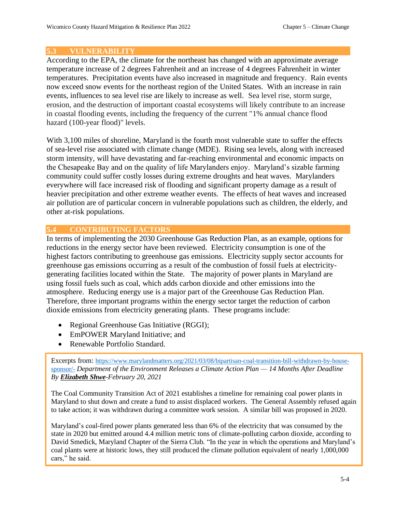#### **5.3 VULNERABILITY**

According to the EPA, the climate for the northeast has changed with an approximate average temperature increase of 2 degrees Fahrenheit and an increase of 4 degrees Fahrenheit in winter temperatures. Precipitation events have also increased in magnitude and frequency. Rain events now exceed snow events for the northeast region of the United States. With an increase in rain events, influences to sea level rise are likely to increase as well. Sea level rise, storm surge, erosion, and the destruction of important coastal ecosystems will likely contribute to an increase in coastal flooding events, including the frequency of the current "1% annual chance flood hazard (100-year flood)" levels.

With 3,100 miles of shoreline, Maryland is the fourth most vulnerable state to suffer the effects of sea-level rise associated with climate change (MDE). Rising sea levels, along with increased storm intensity, will have devastating and far-reaching environmental and economic impacts on the Chesapeake Bay and on the quality of life Marylanders enjoy. Maryland's sizable farming community could suffer costly losses during extreme droughts and heat waves. Marylanders everywhere will face increased risk of flooding and significant property damage as a result of heavier precipitation and other extreme weather events. The effects of heat waves and increased air pollution are of particular concern in vulnerable populations such as children, the elderly, and other at-risk populations.

### **5.4 CONTRIBUTING FACTORS**

In terms of implementing the 2030 Greenhouse Gas Reduction Plan, as an example, options for reductions in the energy sector have been reviewed. Electricity consumption is one of the highest factors contributing to greenhouse gas emissions. Electricity supply sector accounts for greenhouse gas emissions occurring as a result of the combustion of fossil fuels at electricitygenerating facilities located within the State. The majority of power plants in Maryland are using fossil fuels such as coal, which adds carbon dioxide and other emissions into the atmosphere. Reducing energy use is a major part of the Greenhouse Gas Reduction Plan. Therefore, three important programs within the energy sector target the reduction of carbon dioxide emissions from electricity generating plants. These programs include:

- Regional Greenhouse Gas Initiative (RGGI);
- EmPOWER Maryland Initiative; and
- Renewable Portfolio Standard.

Excerpts from: [https://www.marylandmatters.org/2021/03/08/bipartisan-coal-transition-bill-withdrawn-by-house](https://www.marylandmatters.org/2021/03/08/bipartisan-coal-transition-bill-withdrawn-by-house-sponsor/-)[sponsor/-](https://www.marylandmatters.org/2021/03/08/bipartisan-coal-transition-bill-withdrawn-by-house-sponsor/-) *Department of the Environment Releases a Climate Action Plan — 14 Months After Deadline By [Elizabeth Shwe](https://www.marylandmatters.org/author/elizabeth-shwe/)-February 20, 2021* 

The Coal Community Transition Act of 2021 establishes a timeline for remaining coal power plants in Maryland to shut down and create a fund to assist displaced workers. The General Assembly refused again to take action; it was withdrawn during a committee work session. A similar bill was proposed in 2020.

Maryland's coal-fired power plants generated less than 6% of the electricity that was consumed by the state in 2020 but emitted around 4.4 million metric tons of climate-polluting carbon dioxide, according to David Smedick, Maryland Chapter of the Sierra Club. "In the year in which the operations and Maryland's coal plants were at historic lows, they still produced the climate pollution equivalent of nearly 1,000,000 cars," he said.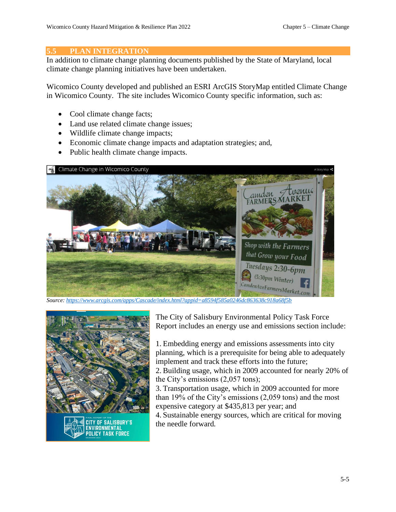#### **5.5 PLAN INTEGRATION**

In addition to climate change planning documents published by the State of Maryland, local climate change planning initiatives have been undertaken.

Wicomico County developed and published an ESRI ArcGIS StoryMap entitled Climate Change in Wicomico County. The site includes Wicomico County specific information, such as:

- Cool climate change facts;
- Land use related climate change issues;
- Wildlife climate change impacts;
- Economic climate change impacts and adaptation strategies; and,
- Public health climate change impacts.



*Source[: https://www.arcgis.com/apps/Cascade/index.html?appid=a8594f585a0246dc863638c918a68f5b](https://www.arcgis.com/apps/Cascade/index.html?appid=a8594f585a0246dc863638c918a68f5b)*



The City of Salisbury Environmental Policy Task Force Report includes an energy use and emissions section include:

1. Embedding energy and emissions assessments into city planning, which is a prerequisite for being able to adequately implement and track these efforts into the future;

2. Building usage, which in 2009 accounted for nearly 20% of the City's emissions (2,057 tons);

3. Transportation usage, which in 2009 accounted for more than 19% of the City's emissions (2,059 tons) and the most expensive category at \$435,813 per year; and

4. Sustainable energy sources, which are critical for moving the needle forward.